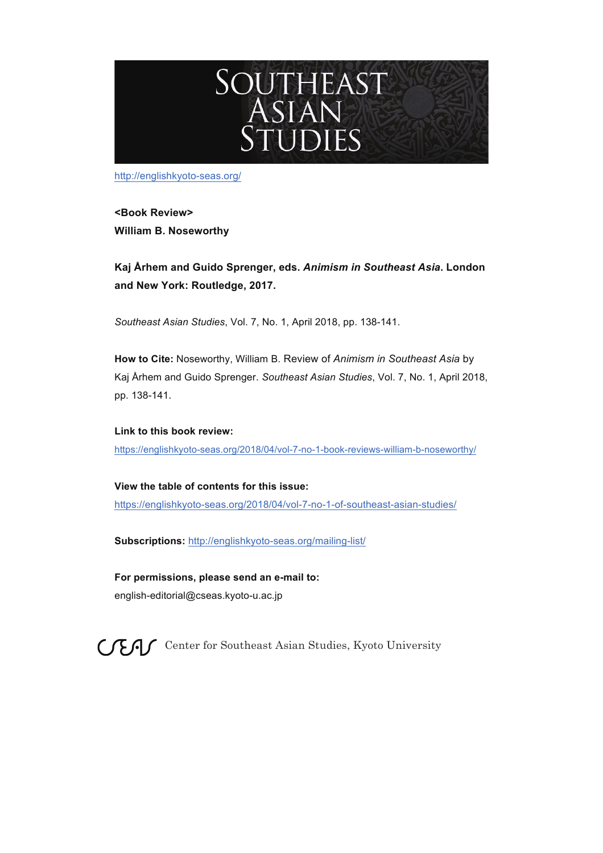

http://englishkyoto-seas.org/

**<Book Review> William B. Noseworthy**

**Kaj Århem and Guido Sprenger, eds.** *Animism in Southeast Asia***. London and New York: Routledge, 2017.**

*Southeast Asian Studies*, Vol. 7, No. 1, April 2018, pp. 138-141.

**How to Cite:** Noseworthy, William B. Review of *Animism in Southeast Asia* by Kaj Århem and Guido Sprenger. *Southeast Asian Studies*, Vol. 7, No. 1, April 2018, pp. 138-141.

**Link to this book review:** https://englishkyoto-seas.org/2018/04/vol-7-no-1-book-reviews-william-b-noseworthy/

**View the table of contents for this issue:** https://englishkyoto-seas.org/2018/04/vol-7-no-1-of-southeast-asian-studies/

**Subscriptions:** http://englishkyoto-seas.org/mailing-list/

**For permissions, please send an e-mail to:**  english-editorial@cseas.kyoto-u.ac.jp

 $C \nsubseteq C$  Center for Southeast Asian Studies, Kyoto University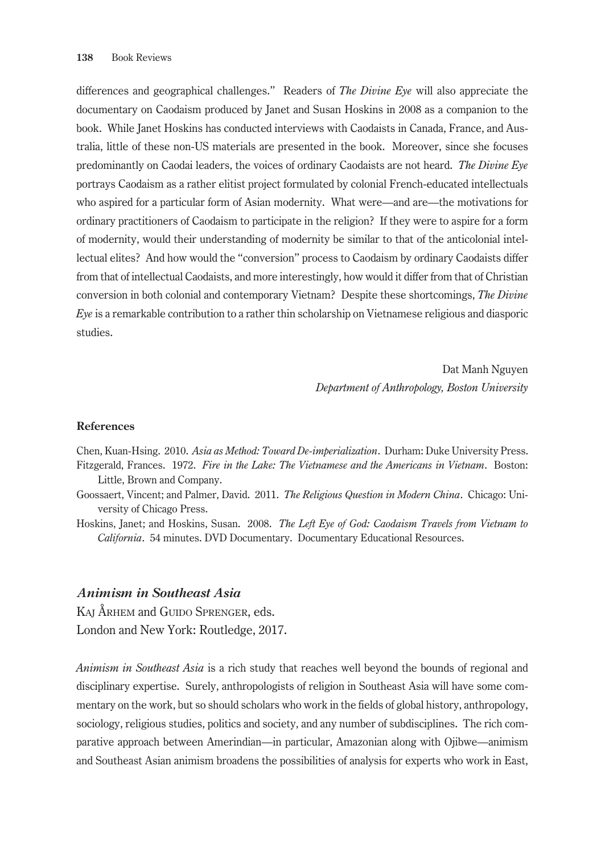differences and geographical challenges." Readers of *The Divine Eye* will also appreciate the documentary on Caodaism produced by Janet and Susan Hoskins in 2008 as a companion to the book. While Janet Hoskins has conducted interviews with Caodaists in Canada, France, and Australia, little of these non-US materials are presented in the book. Moreover, since she focuses predominantly on Caodai leaders, the voices of ordinary Caodaists are not heard. *The Divine Eye* portrays Caodaism as a rather elitist project formulated by colonial French-educated intellectuals who aspired for a particular form of Asian modernity. What were—and are—the motivations for ordinary practitioners of Caodaism to participate in the religion? If they were to aspire for a form of modernity, would their understanding of modernity be similar to that of the anticolonial intellectual elites? And how would the "conversion" process to Caodaism by ordinary Caodaists differ from that of intellectual Caodaists, and more interestingly, how would it differ from that of Christian conversion in both colonial and contemporary Vietnam? Despite these shortcomings, *The Divine Eye* is a remarkable contribution to a rather thin scholarship on Vietnamese religious and diasporic studies.

> Dat Manh Nguyen *Department of Anthropology, Boston University*

## **References**

Chen, Kuan-Hsing. 2010. *Asia as Method: Toward De-imperialization*. Durham: Duke University Press. Fitzgerald, Frances. 1972. *Fire in the Lake: The Vietnamese and the Americans in Vietnam*. Boston: Little, Brown and Company.

- Goossaert, Vincent; and Palmer, David. 2011. *The Religious Question in Modern China*. Chicago: University of Chicago Press.
- Hoskins, Janet; and Hoskins, Susan. 2008. *The Left Eye of God: Caodaism Travels from Vietnam to California*. 54 minutes. DVD Documentary. Documentary Educational Resources.

## *Animism in Southeast Asia*

KAJ ÅRHEM and GUIDO SPRENGER, eds. London and New York: Routledge, 2017.

*Animism in Southeast Asia* is a rich study that reaches well beyond the bounds of regional and disciplinary expertise. Surely, anthropologists of religion in Southeast Asia will have some commentary on the work, but so should scholars who work in the fields of global history, anthropology, sociology, religious studies, politics and society, and any number of subdisciplines. The rich comparative approach between Amerindian—in particular, Amazonian along with Ojibwe—animism and Southeast Asian animism broadens the possibilities of analysis for experts who work in East,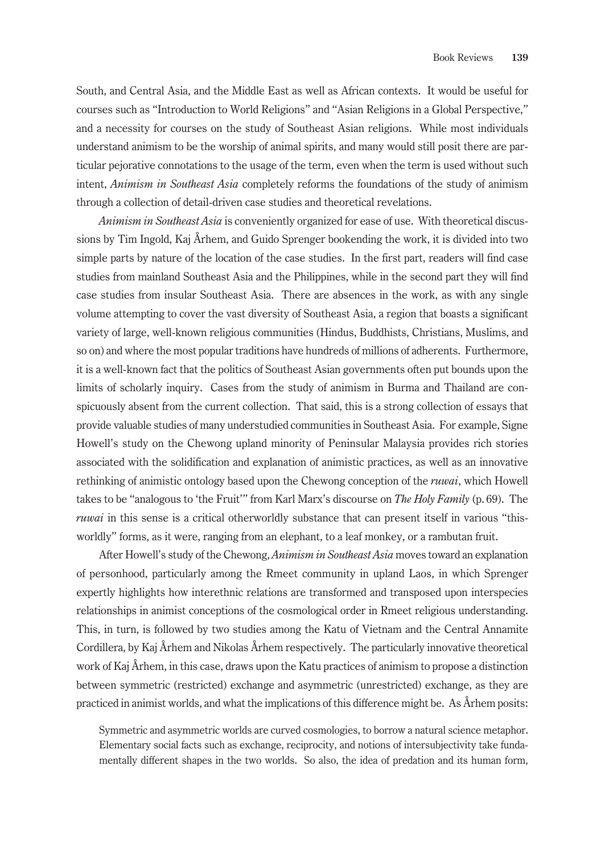South, and Central Asia, and the Middle East as well as African contexts. It would be useful for courses such as "Introduction to World Religions" and "Asian Religions in a Global Perspective," and a necessity for courses on the study of Southeast Asian religions. While most individuals understand animism to be the worship of animal spirits, and many would still posit there are particular pejorative connotations to the usage of the term, even when the term is used without such intent, *Animism in Southeast Asia* completely reforms the foundations of the study of animism through a collection of detail-driven case studies and theoretical revelations.

*Animism in Southeast Asia* is conveniently organized for ease of use. With theoretical discussions by Tim Ingold, Kaj Århem, and Guido Sprenger bookending the work, it is divided into two simple parts by nature of the location of the case studies. In the first part, readers will find case studies from mainland Southeast Asia and the Philippines, while in the second part they will find case studies from insular Southeast Asia. There are absences in the work, as with any single volume attempting to cover the vast diversity of Southeast Asia, a region that boasts a significant variety of large, well-known religious communities (Hindus, Buddhists, Christians, Muslims, and so on) and where the most popular traditions have hundreds of millions of adherents. Furthermore, it is a well-known fact that the politics of Southeast Asian governments often put bounds upon the limits of scholarly inquiry. Cases from the study of animism in Burma and Thailand are conspicuously absent from the current collection. That said, this is a strong collection of essays that provide valuable studies of many understudied communities in Southeast Asia. For example, Signe Howell's study on the Chewong upland minority of Peninsular Malaysia provides rich stories associated with the solidification and explanation of animistic practices, as well as an innovative rethinking of animistic ontology based upon the Chewong conception of the *ruwai*, which Howell takes to be "analogous to 'the Fruit'" from Karl Marx's discourse on *The Holy Family* (p. 69). The *ruwai* in this sense is a critical otherworldly substance that can present itself in various "thisworldly" forms, as it were, ranging from an elephant, to a leaf monkey, or a rambutan fruit.

After Howell's study of the Chewong, *Animism in Southeast Asia* moves toward an explanation of personhood, particularly among the Rmeet community in upland Laos, in which Sprenger expertly highlights how interethnic relations are transformed and transposed upon interspecies relationships in animist conceptions of the cosmological order in Rmeet religious understanding. This, in turn, is followed by two studies among the Katu of Vietnam and the Central Annamite Cordillera, by Kaj Århem and Nikolas Århem respectively. The particularly innovative theoretical work of Kaj Århem, in this case, draws upon the Katu practices of animism to propose a distinction between symmetric (restricted) exchange and asymmetric (unrestricted) exchange, as they are practiced in animist worlds, and what the implications of this difference might be. As Århem posits:

Symmetric and asymmetric worlds are curved cosmologies, to borrow a natural science metaphor. Elementary social facts such as exchange, reciprocity, and notions of intersubjectivity take fundamentally different shapes in the two worlds. So also, the idea of predation and its human form,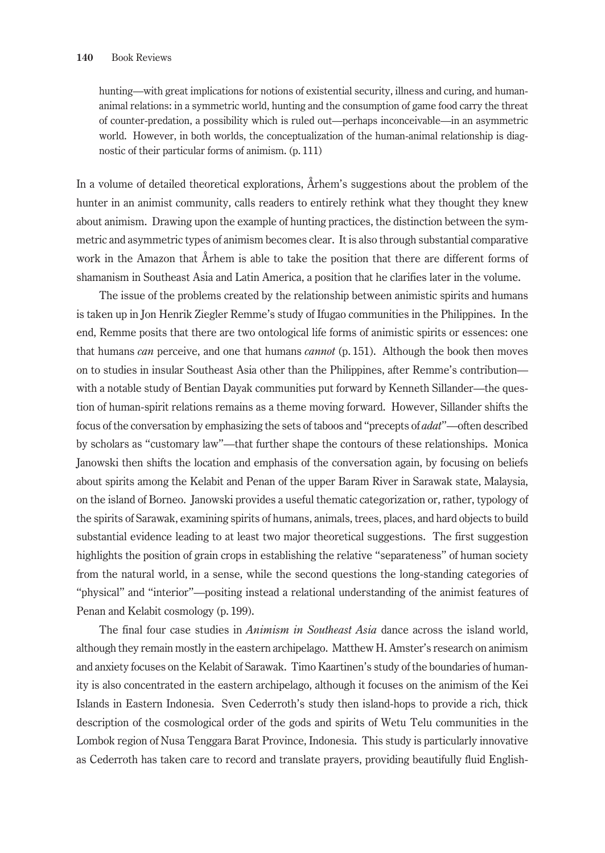hunting—with great implications for notions of existential security, illness and curing, and humananimal relations: in a symmetric world, hunting and the consumption of game food carry the threat of counter-predation, a possibility which is ruled out—perhaps inconceivable—in an asymmetric world. However, in both worlds, the conceptualization of the human-animal relationship is diagnostic of their particular forms of animism. (p. 111)

In a volume of detailed theoretical explorations, Århem's suggestions about the problem of the hunter in an animist community, calls readers to entirely rethink what they thought they knew about animism. Drawing upon the example of hunting practices, the distinction between the symmetric and asymmetric types of animism becomes clear. It is also through substantial comparative work in the Amazon that Århem is able to take the position that there are different forms of shamanism in Southeast Asia and Latin America, a position that he clarifies later in the volume.

The issue of the problems created by the relationship between animistic spirits and humans is taken up in Jon Henrik Ziegler Remme's study of Ifugao communities in the Philippines. In the end, Remme posits that there are two ontological life forms of animistic spirits or essences: one that humans *can* perceive, and one that humans *cannot* (p. 151). Although the book then moves on to studies in insular Southeast Asia other than the Philippines, after Remme's contribution with a notable study of Bentian Dayak communities put forward by Kenneth Sillander—the question of human-spirit relations remains as a theme moving forward. However, Sillander shifts the focus of the conversation by emphasizing the sets of taboos and "precepts of *adat*"—often described by scholars as "customary law"—that further shape the contours of these relationships. Monica Janowski then shifts the location and emphasis of the conversation again, by focusing on beliefs about spirits among the Kelabit and Penan of the upper Baram River in Sarawak state, Malaysia, on the island of Borneo. Janowski provides a useful thematic categorization or, rather, typology of the spirits of Sarawak, examining spirits of humans, animals, trees, places, and hard objects to build substantial evidence leading to at least two major theoretical suggestions. The first suggestion highlights the position of grain crops in establishing the relative "separateness" of human society from the natural world, in a sense, while the second questions the long-standing categories of "physical" and "interior"—positing instead a relational understanding of the animist features of Penan and Kelabit cosmology (p. 199).

The final four case studies in *Animism in Southeast Asia* dance across the island world, although they remain mostly in the eastern archipelago. Matthew H. Amster's research on animism and anxiety focuses on the Kelabit of Sarawak. Timo Kaartinen's study of the boundaries of humanity is also concentrated in the eastern archipelago, although it focuses on the animism of the Kei Islands in Eastern Indonesia. Sven Cederroth's study then island-hops to provide a rich, thick description of the cosmological order of the gods and spirits of Wetu Telu communities in the Lombok region of Nusa Tenggara Barat Province, Indonesia. This study is particularly innovative as Cederroth has taken care to record and translate prayers, providing beautifully fluid English